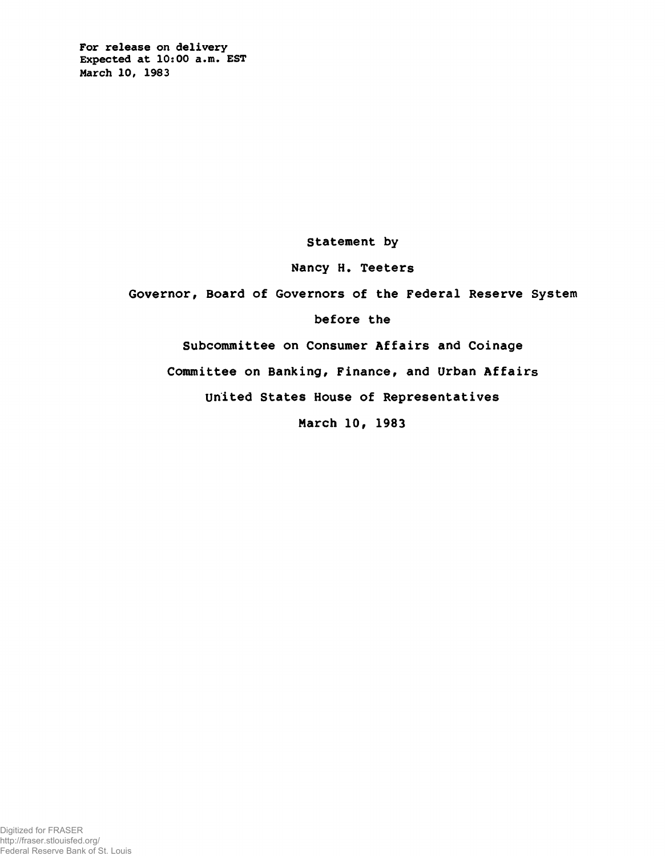For release on delivery Expected at 10:00 a.m. EST March 10, 1983

Statement by

Nancy H. Teeters

Governor, Board of Governors of the Federal Reserve System

before the

Subcommittee on Consumer Affairs and Coinage

Committee on Banking, Finance, and Urban Affairs

United States House of Representatives

March 10, 1983

Digitized for FRASER http://fraser.stlouisfed.org/ Federal Reserve Bank of St. Louis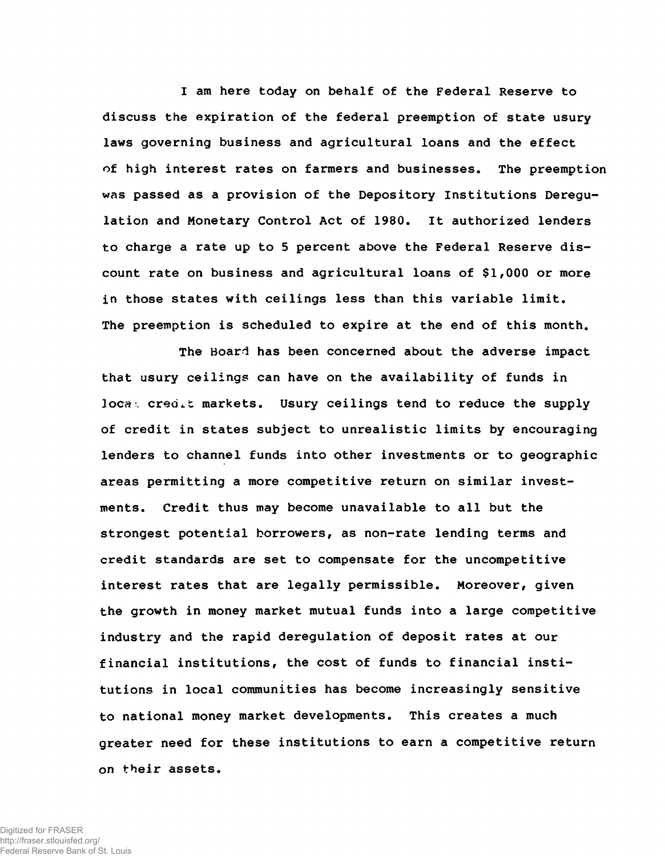I am here today on behalf of the Federal Reserve to discuss the expiration of the federal preemption of state usury laws governing business and agricultural loans and the effect of high interest rates on farmers and businesses. The preemption was passed as a provision of the Depository Institutions Deregulation and Monetary Control Act of 1980. It authorized lenders to charge a rate up to 5 percent above the Federal Reserve discount rate on business and agricultural loans of \$1,000 or more in those states with ceilings less than this variable limit. The preemption is scheduled to expire at the end of this month.

The Board has been concerned about the adverse impact that usury ceilings can have on the availability of funds in loca: credit markets. Usury ceilings tend to reduce the supply of credit in states subject to unrealistic limits by encouraging lenders to channel funds into other investments or to geographic areas permitting a more competitive return on similar investments. Credit thus may become unavailable to all but the strongest potential borrowers, as non-rate lending terms and credit standards are set to compensate for the uncompetitive interest rates that are legally permissible. Moreover, given the growth in money market mutual funds into a large competitive industry and the rapid deregulation of deposit rates at our financial institutions, the cost of funds to financial institutions in local communities has become increasingly sensitive to national money market developments. This creates a much greater need for these institutions to earn a competitive return on their assets.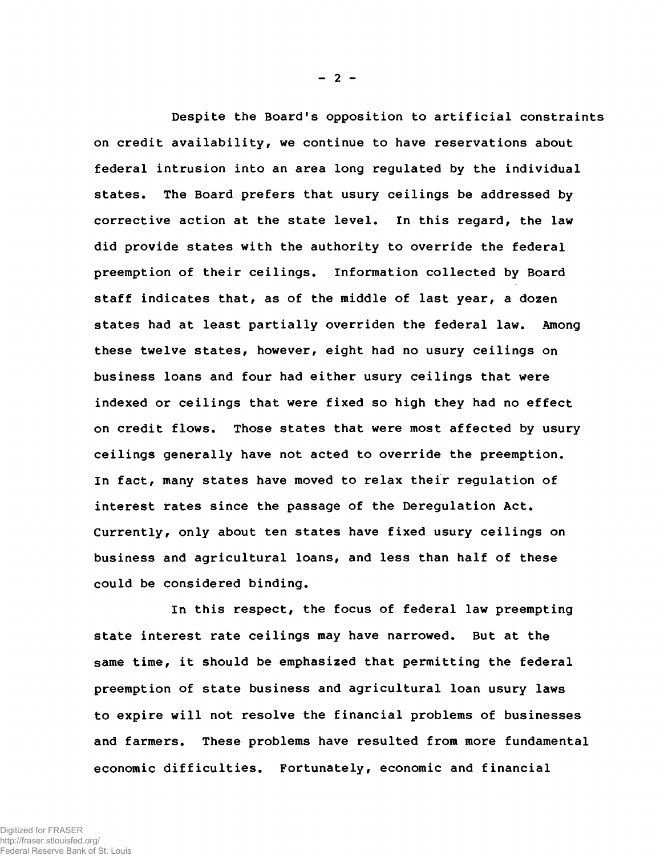Despite the Board's opposition to artificial constraints on credit availability, we continue to have reservations about federal intrusion into an area long regulated by the individual states. The Board prefers that usury ceilings be addressed by corrective action at the state level. In this regard, the law did provide states with the authority to override the federal preemption of their ceilings. Information collected by Board staff indicates that, as of the middle of last year, a dozen states had at least partially overriden the federal law. Among these twelve states, however, eight had no usury ceilings on business loans and four had either usury ceilings that were indexed or ceilings that were fixed so high they had no effect on credit flows. Those states that were most affected by usury ceilings generally have not acted to override the preemption. In fact, many states have moved to relax their regulation of interest rates since the passage of the Deregulation Act. Currently, only about ten states have fixed usury ceilings on business and agricultural loans, and less than half of these could be considered binding.

In this respect, the focus of federal law preempting state interest rate ceilings may have narrowed. But at the same time, it should be emphasized that permitting the federal preemption of state business and agricultural loan usury laws to expire will not resolve the financial problems of businesses and farmers. These problems have resulted from more fundamental economic difficulties. Fortunately, economic and financial

 $- 2 -$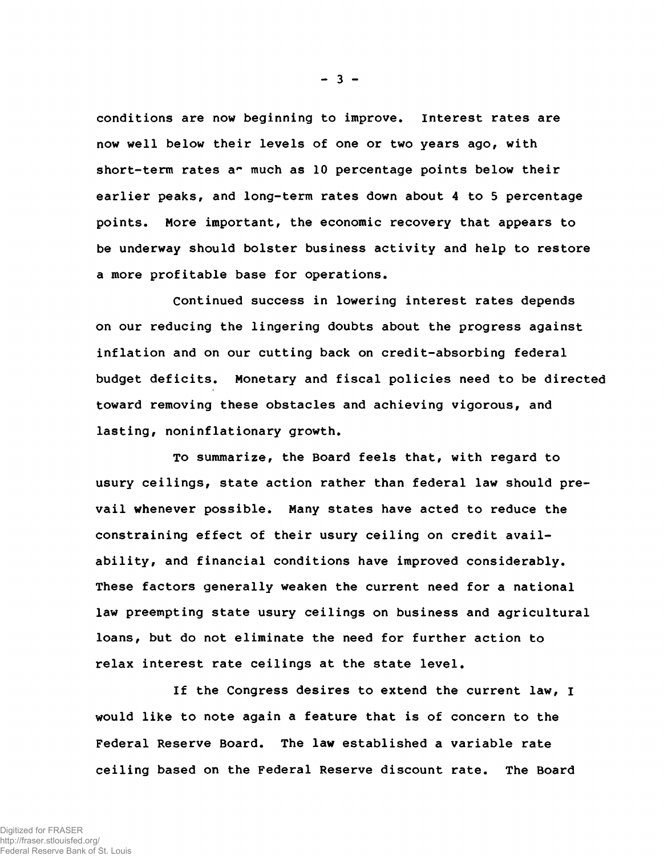conditions are now beginning to improve. Interest rates are now well below their levels of one or two years ago, with short-term rates ar much as 10 percentage points below their earlier peaks, and long-term rates down about 4 to 5 percentage points. More important, the economic recovery that appears to be underway should bolster business activity and help to restore a more profitable base for operations.

Continued success in lowering interest rates depends on our reducing the lingering doubts about the progress against inflation and on our cutting back on credit-absorbing federal budget deficits. Monetary and fiscal policies need to be directed toward removing these obstacles and achieving vigorous, and lasting, noninflationary growth.

To summarize, the Board feels that, with regard to usury ceilings, state action rather than federal law should prevail whenever possible. Many states have acted to reduce the constraining effect of their usury ceiling on credit availability, and financial conditions have improved considerably. These factors generally weaken the current need for a national law preempting state usury ceilings on business and agricultural loans, but do not eliminate the need for further action to relax interest rate ceilings at the state level.

If the Congress desires to extend the current law, I would like to note again a feature that is of concern to the Federal Reserve Board. The law established a variable rate ceiling based on the Federal Reserve discount rate. The Board

 $- 3 -$